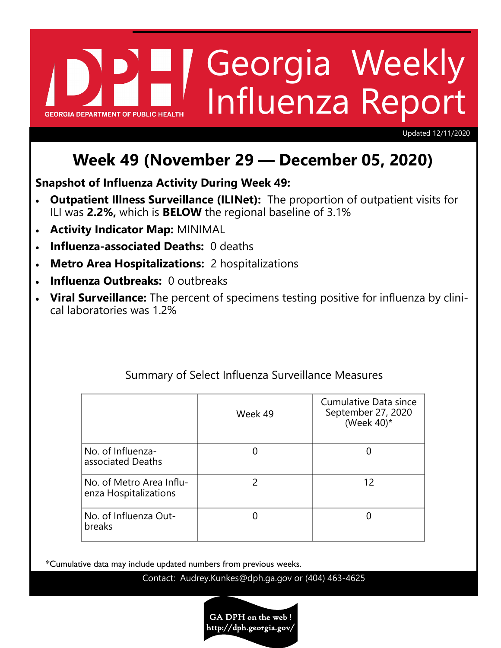# Georgia Weekly Influenza Report **GEORGIA DEPARTMENT OF PUBLIC HE**

Updated 12/11/2020

# **Week 49 (November 29 — December 05, 2020)**

**Snapshot of Influenza Activity During Week 49:**

- **Outpatient Illness Surveillance (ILINet):** The proportion of outpatient visits for ILI was **2.2%,** which is **BELOW** the regional baseline of 3.1%
- **Activity Indicator Map:** MINIMAL
- **Influenza-associated Deaths:** 0 deaths
- **Metro Area Hospitalizations:** 2 hospitalizations
- **Influenza Outbreaks:** 0 outbreaks
- **Viral Surveillance:** The percent of specimens testing positive for influenza by clinical laboratories was 1.2%

|                                                   | Week 49 | Cumulative Data since<br>September 27, 2020<br>(Week $40$ )* |
|---------------------------------------------------|---------|--------------------------------------------------------------|
| No. of Influenza-<br>associated Deaths            |         |                                                              |
| No. of Metro Area Influ-<br>enza Hospitalizations |         | 12                                                           |
| No. of Influenza Out-<br>breaks                   |         |                                                              |

# Summary of Select Influenza Surveillance Measures

\*Cumulative data may include updated numbers from previous weeks.

Contact: Audrey.Kunkes@dph.ga.gov or (404) 463-4625

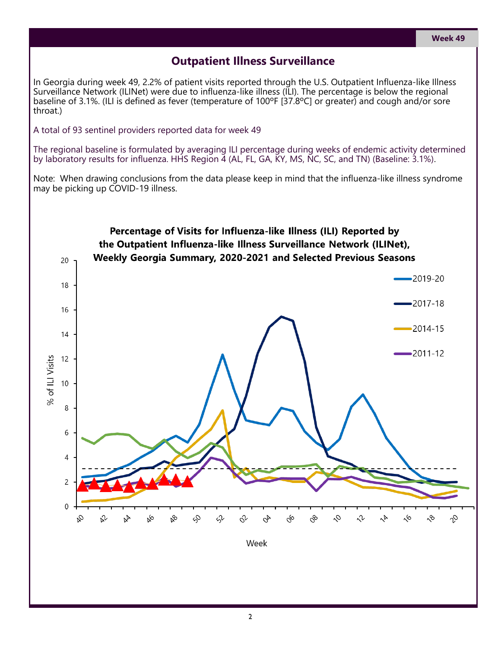## **Outpatient Illness Surveillance**

In Georgia during week 49, 2.2% of patient visits reported through the U.S. Outpatient Influenza-like Illness Surveillance Network (ILINet) were due to influenza-like illness (ILI). The percentage is below the regional baseline of 3.1%. (ILI is defined as fever (temperature of 100ºF [37.8ºC] or greater) and cough and/or sore throat.)

A total of 93 sentinel providers reported data for week 49

The regional baseline is formulated by averaging ILI percentage during weeks of endemic activity determined by laboratory results for influenza. HHS Region 4 (AL, FL, GA, KY, MS, NC, SC, and TN) (Baseline: 3.1%).

Note: When drawing conclusions from the data please keep in mind that the influenza-like illness syndrome may be picking up COVID-19 illness.

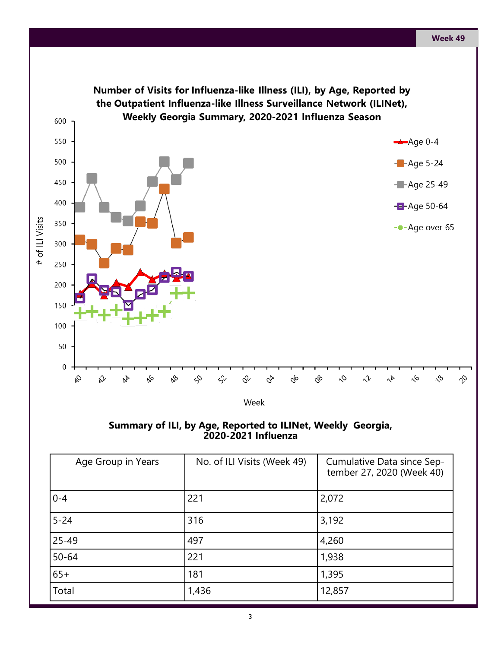

**Summary of ILI, by Age, Reported to ILINet, Weekly Georgia, 2020-2021 Influenza** 

| Age Group in Years | No. of ILI Visits (Week 49) | Cumulative Data since Sep-<br>tember 27, 2020 (Week 40) |
|--------------------|-----------------------------|---------------------------------------------------------|
| $0 - 4$            | 221                         | 2,072                                                   |
| $5 - 24$           | 316                         | 3,192                                                   |
| $25 - 49$          | 497                         | 4,260                                                   |
| $50 - 64$          | 221                         | 1,938                                                   |
| $65+$              | 181                         | 1,395                                                   |
| Total              | 1,436                       | 12,857                                                  |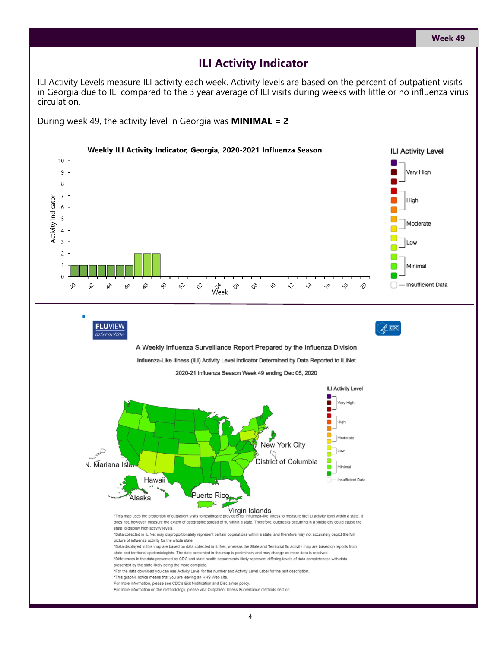#### **ILI Activity Indicator**

ILI Activity Levels measure ILI activity each week. Activity levels are based on the percent of outpatient visits in Georgia due to ILI compared to the 3 year average of ILI visits during weeks with little or no influenza virus circulation.

During week 49, the activity level in Georgia was **MINIMAL = 2**

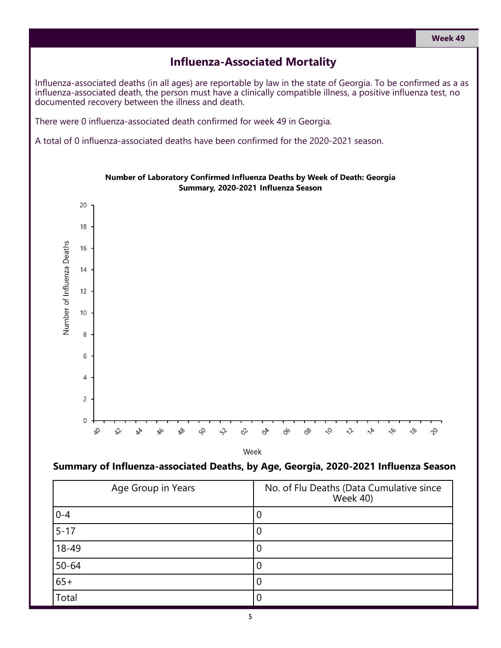#### **Influenza-Associated Mortality**

Influenza-associated deaths (in all ages) are reportable by law in the state of Georgia. To be confirmed as a as influenza-associated death, the person must have a clinically compatible illness, a positive influenza test, no documented recovery between the illness and death.

There were 0 influenza-associated death confirmed for week 49 in Georgia.

A total of 0 influenza-associated deaths have been confirmed for the 2020-2021 season.



Number of Laboratory Confirmed Influenza Deaths by Week of Death: Georgia Summary, 2020-2021 Influenza Season

Week

#### **Summary of Influenza-associated Deaths, by Age, Georgia, 2020-2021 Influenza Season**

| Age Group in Years | No. of Flu Deaths (Data Cumulative since<br><b>Week 40)</b> |
|--------------------|-------------------------------------------------------------|
| $0 - 4$            |                                                             |
| $5 - 17$           | U                                                           |
| 18-49              | U                                                           |
| $50 - 64$          | U                                                           |
| $65+$              |                                                             |
| Total              |                                                             |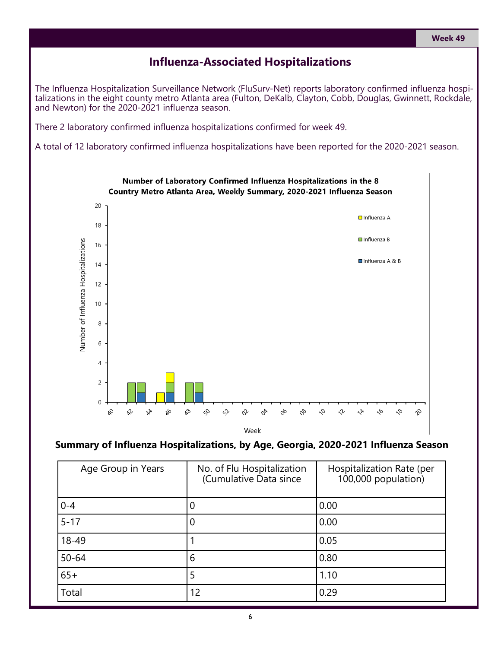#### **Week 49**

#### **Influenza-Associated Hospitalizations**

The Influenza Hospitalization Surveillance Network (FluSurv-Net) reports laboratory confirmed influenza hospitalizations in the eight county metro Atlanta area (Fulton, DeKalb, Clayton, Cobb, Douglas, Gwinnett, Rockdale, and Newton) for the 2020-2021 influenza season.

There 2 laboratory confirmed influenza hospitalizations confirmed for week 49.

A total of 12 laboratory confirmed influenza hospitalizations have been reported for the 2020-2021 season.



#### **Summary of Influenza Hospitalizations, by Age, Georgia, 2020-2021 Influenza Season**

| Age Group in Years | No. of Flu Hospitalization<br>(Cumulative Data since | Hospitalization Rate (per<br>100,000 population) |
|--------------------|------------------------------------------------------|--------------------------------------------------|
| $0 - 4$            | 0                                                    | 0.00                                             |
| $5 - 17$           | 0                                                    | 0.00                                             |
| 18-49              |                                                      | 0.05                                             |
| $50 - 64$          | 6                                                    | 0.80                                             |
| $65+$              | 5                                                    | 1.10                                             |
| Total              | 12                                                   | 0.29                                             |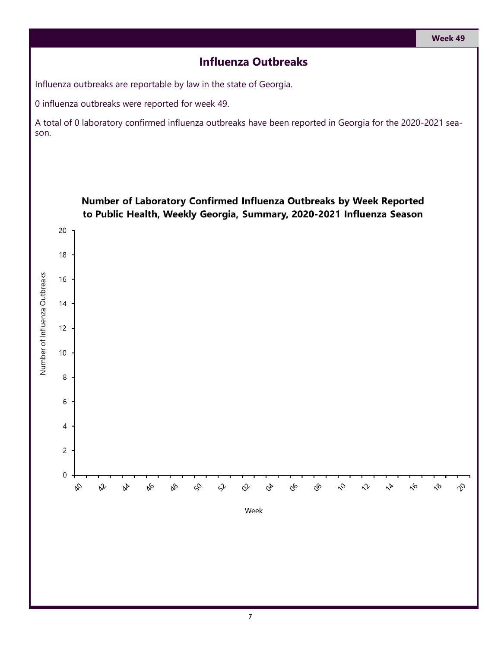## **Influenza Outbreaks**

Influenza outbreaks are reportable by law in the state of Georgia.

0 influenza outbreaks were reported for week 49.

A total of 0 laboratory confirmed influenza outbreaks have been reported in Georgia for the 2020-2021 season.

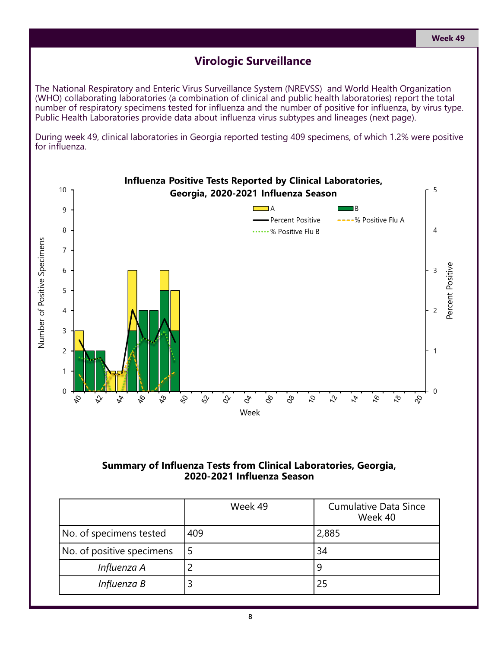#### **Virologic Surveillance**

The National Respiratory and Enteric Virus Surveillance System (NREVSS) and World Health Organization (WHO) collaborating laboratories (a combination of clinical and public health laboratories) report the total number of respiratory specimens tested for influenza and the number of positive for influenza, by virus type. Public Health Laboratories provide data about influenza virus subtypes and lineages (next page).

During week 49, clinical laboratories in Georgia reported testing 409 specimens, of which 1.2% were positive for influenza.



#### **Summary of Influenza Tests from Clinical Laboratories, Georgia, 2020-2021 Influenza Season**

|                           | Week 49 | <b>Cumulative Data Since</b><br>Week 40 |
|---------------------------|---------|-----------------------------------------|
| No. of specimens tested   | 409     | 2,885                                   |
| No. of positive specimens |         | 34                                      |
| Influenza A               |         |                                         |
| Influenza B               |         | 25                                      |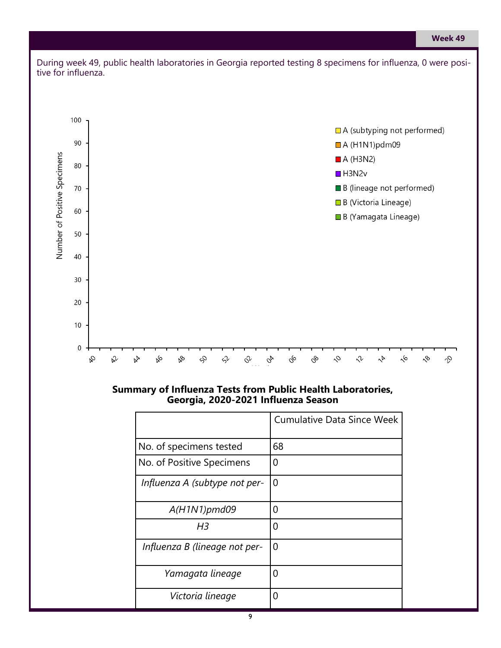

#### **Summary of Influenza Tests from Public Health Laboratories, Georgia, 2020-2021 Influenza Season**

|                               | <b>Cumulative Data Since Week</b> |
|-------------------------------|-----------------------------------|
| No. of specimens tested       | 68                                |
| No. of Positive Specimens     | O                                 |
| Influenza A (subtype not per- | O                                 |
| $A(H1N1)$ pmd09               | O                                 |
| H3                            | O                                 |
| Influenza B (lineage not per- | O                                 |
| Yamagata lineage              | Ω                                 |
| Victoria lineage              | 0                                 |